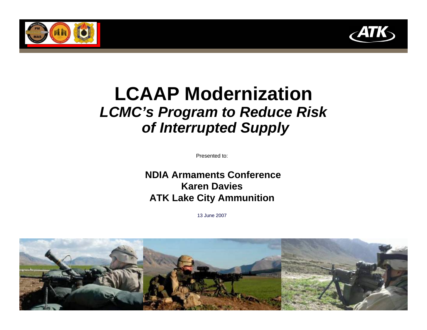



# **LCAAP Modernization** *LCMC's Program to Reduce Risk of Interrupted Supply*

Presented to:

**NDIA Armaments ConferenceKaren DaviesATK Lake City Ammunition**

13 June 2007

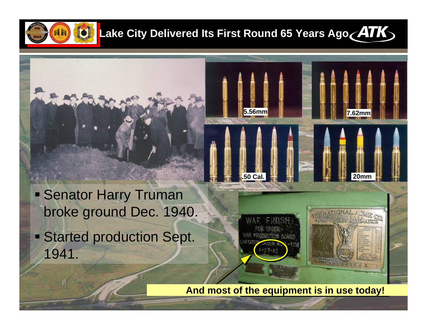

**2**

1941.

# **Lake City Delivered Its First Round 65 Years Ago ATK**

**5.56mm 5.56mm**

**.50 Cal.**

**7.62mm**

**20mm**

**EV ACTIONATION** 

 Senator Harry Truman broke ground Dec. 1940. Started production Sept.

**And most of the equipment is in use today!**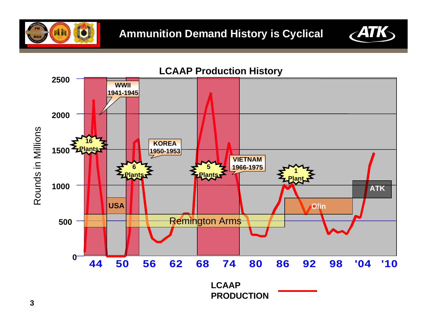





**PRODUCTION**

## **LCAAP Production History**

**3**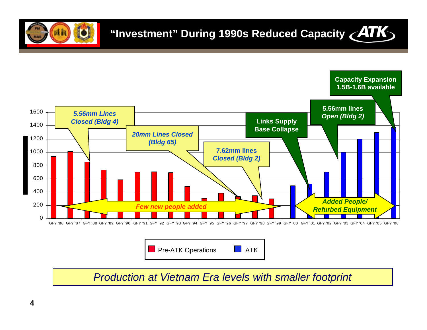





*Production at Vietnam Era levels with smaller footprint*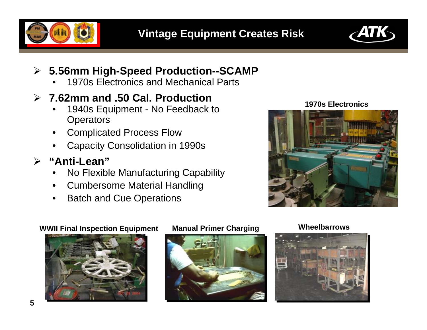



### $\blacktriangleright$ **5.56mm High-Speed Production--SCAMP**

•1970s Electronics and Mechanical Parts

# ¾ **7.62mm and .50 Cal. Production**

- • 1940s Equipment - No Feedback to **Operators**
- •Complicated Process Flow
- •Capacity Consolidation in 1990s

# ¾ **"Anti-Lean"**

- •No Flexible Manufacturing Capability
- •Cumbersome Material Handling
- •Batch and Cue Operations

### **1970s Electronics**



### **WWII Final Inspection Equipment Manual Primer Charging Wheelbarrows**





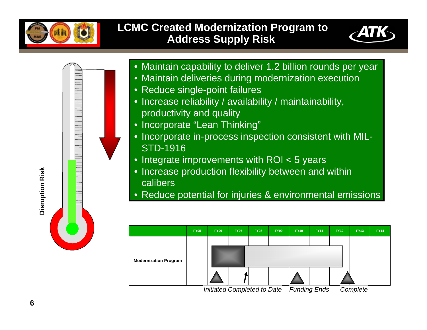<span id="page-5-0"></span>

## **LCMC Created Modernization Program to Address Supply Risk**





• Maintain capability to deliver 1.2 billion rounds per year

- Maintain deliveries during modernization execution
	- Reduce single-point failures
	- Increase reliability / availability / maintainability, productivity and quality
	- Incorporate "Lean Thinking"
- Incorporate in-process inspection consistent with MIL-STD-1916
- Integrate improvements with ROI < 5 years
- Increase production flexibility between and within calibers
- Reduce potential for injuries & environmental emissions

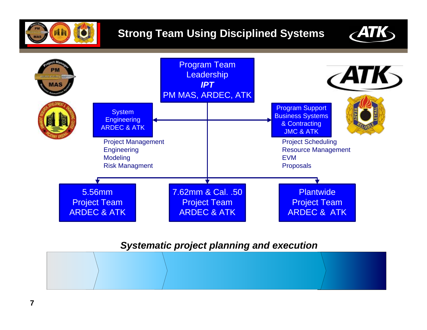





## *Systematic project planning and execution*

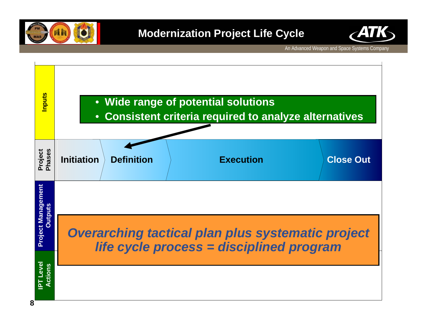



An Advanced Weapon and Space Systems Company

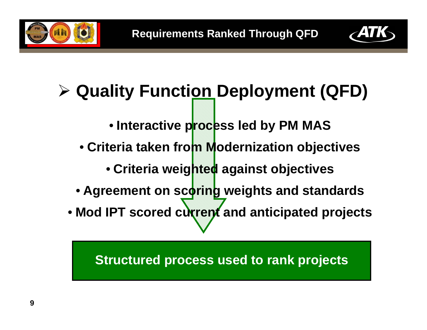



# ¾ **Quality Function Deployment (QFD)**

- **Interactive process led by PM MAS**
- **Criteria taken from Modernization objectives**
	- **Criteria weighted against objectives**
- **Agreement on scoring weights and standards**
- **Mod IPT scored current and anticipated projects**

**Structured process used to rank projects**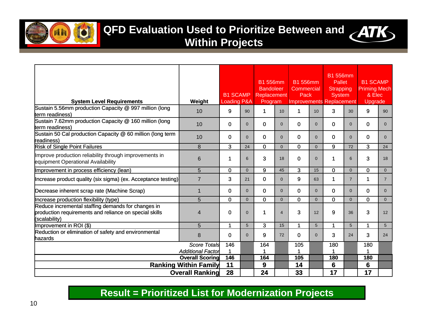

# **QFD Evaluation Used to Prioritize Between and ATK**



**Within Projects**

| <b>System Level Requirements</b>                                                                                              | Weight                       | <b>B1 SCAMP</b><br><b>Loading P&amp;A</b> |                | <b>B1 556mm</b><br><b>Bandoleer</b><br>Replacement<br>Program |                | <b>B1556mm</b><br>Commercial<br>Pack |          | <b>B1 556mm</b><br>Pallet<br>Strapping<br><b>System</b><br><b>Improvements Replacement</b> |                | <b>B1 SCAMP</b><br><b>Priming Mech</b><br>& Elec<br>Upgrade |                |
|-------------------------------------------------------------------------------------------------------------------------------|------------------------------|-------------------------------------------|----------------|---------------------------------------------------------------|----------------|--------------------------------------|----------|--------------------------------------------------------------------------------------------|----------------|-------------------------------------------------------------|----------------|
| Sustain 5.56mm production Capacity @ 997 million (long                                                                        | 10                           | 9                                         | 90             | 1                                                             | 10             | $\blacktriangleleft$                 | 10       | 3                                                                                          | 30             | 9                                                           | 90             |
| term readiness)<br>Sustain 7.62mm production Capacity @ 160 million (long<br>term readiness)                                  | 10                           | $\mathbf{0}$                              | $\overline{0}$ | $\mathbf{0}$                                                  | $\Omega$       | $\Omega$                             | $\Omega$ | 0                                                                                          | $\Omega$       | $\mathbf{0}$                                                | $\mathbf{0}$   |
| Sustain 50 Cal production Capacity @ 60 million (long term<br><b>r</b> eadiness)                                              | 10                           | $\Omega$                                  | $\Omega$       | 0                                                             | $\Omega$       | $\Omega$                             | $\Omega$ | $\mathbf 0$                                                                                | $\Omega$       | $\Omega$                                                    | $\Omega$       |
| <b>Risk of Single Point Failures</b>                                                                                          | 8                            | 3                                         | 24             | 0                                                             | $\Omega$       | $\mathbf{0}$                         | $\Omega$ | 9                                                                                          | 72             | 3                                                           | 24             |
| Improve production reliability through improvements in<br>equipment Operational Availability                                  | 6                            | 1                                         | 6              | 3                                                             | 18             | $\Omega$                             | $\Omega$ | 1                                                                                          | 6              | 3                                                           | 18             |
| Improvement in process efficiency (lean)                                                                                      | 5                            | $\Omega$                                  | $\Omega$       | 9                                                             | 45             | 3                                    | 15       | $\mathbf 0$                                                                                | $\Omega$       | $\Omega$                                                    | $\Omega$       |
| Increase product quality (six sigma) (ex. Acceptance testing)                                                                 | $\overline{7}$               | 3                                         | 21             | $\mathbf 0$                                                   | $\Omega$       | 9                                    | 63       | $\mathbf 1$                                                                                | $\overline{7}$ | 1                                                           | $\overline{7}$ |
| Decrease inherent scrap rate (Machine Scrap)                                                                                  | $\mathbf 1$                  | $\Omega$                                  | $\mathbf{0}$   | $\Omega$                                                      | $\Omega$       | $\Omega$                             | $\Omega$ | $\mathbf 0$                                                                                | $\Omega$       | $\Omega$                                                    | $\overline{0}$ |
| Increase production flexibility (type)                                                                                        | 5                            | $\mathbf 0$                               | $\Omega$       | 0                                                             | $\Omega$       | $\mathbf{0}$                         | $\Omega$ | $\mathbf 0$                                                                                | $\Omega$       | $\Omega$                                                    | $\Omega$       |
| Reduce incremental staffing demands for changes in<br>production requirements and reliance on special skills<br>(scalability) | 4                            | $\mathbf{0}$                              | $\mathbf{0}$   | 1                                                             | $\overline{4}$ | 3                                    | 12       | 9                                                                                          | 36             | 3                                                           | 12             |
| Improvement in ROI (\$)                                                                                                       | 5                            | 1                                         | 5              | 3                                                             | 15             | $\blacktriangleleft$                 | 5        | $\blacktriangleleft$                                                                       | 5              | 1                                                           | 5 <sup>5</sup> |
| Reduction or elimination of safety and environmental<br>hazards                                                               | 8                            | $\mathbf{0}$                              | $\Omega$       | 9                                                             | 72             | $\mathbf{0}$                         | $\Omega$ | 3                                                                                          | 24             | 3                                                           | 24             |
|                                                                                                                               | Score Totals                 | 146                                       |                | 164                                                           |                | 105                                  |          | 180                                                                                        |                | 180                                                         |                |
|                                                                                                                               | <b>Additional Factor</b>     |                                           |                |                                                               |                | 4                                    |          |                                                                                            |                | 1                                                           |                |
|                                                                                                                               | <b>Overall Scoring</b>       | 146                                       |                | 164                                                           |                | 105                                  |          | 180                                                                                        |                | 180                                                         |                |
|                                                                                                                               | <b>Ranking Within Family</b> | 11                                        |                | 9                                                             |                | 14                                   |          | 6                                                                                          |                | 6                                                           |                |
|                                                                                                                               | <b>Overall Ranking</b>       | 28                                        |                | 24                                                            |                | 33                                   |          | 17                                                                                         |                | 17                                                          |                |

# **Result = Prioritized List for Modernization Projects**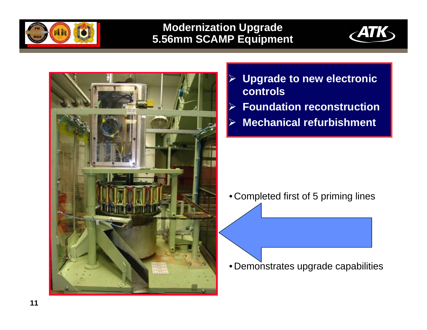

# **Modernization Upgrade 5.56mm SCAMP Equipment**





- $\triangleright$  **[Upgrade to new electronic](#page-5-0)  controls**
- $\triangleright$ **Foundation reconstruction**
- $\blacktriangleright$ **Mechanical refurbishment**

• Completed first of 5 priming lines

• Demonstrates upgrade capabilities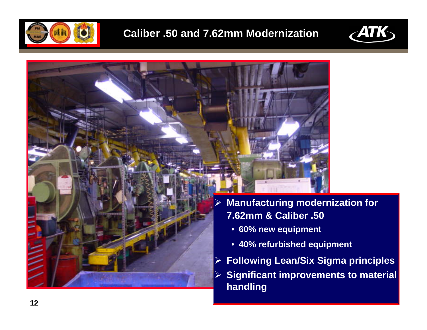





- **Manufacturing modernization for 7.62mm & Caliber .50**
	- **60% new equipment**
	- **40% refurbished equipment**
- **Following Lean/Six Sigma principles**
- **Significant improvements to material handling**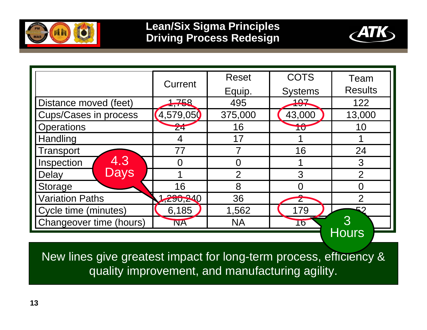



|                              | Current         | <b>Reset</b>   | <b>COTS</b>    | Team           |
|------------------------------|-----------------|----------------|----------------|----------------|
|                              |                 | Equip.         | <b>Systems</b> | <b>Results</b> |
| Distance moved (feet)        | 1,758           | 495            | 197            | 122            |
| <b>Cups/Cases in process</b> | (4,579,05)      | 375,000        | 43,000         | 13,000         |
| <b>Operations</b>            | $\overline{24}$ | 16             | TU             | 10             |
| Handling                     | 4               | 17             |                |                |
| Transport                    | 77              |                | 16             | 24             |
| 4.3<br>Inspection            | $\Omega$        | $\Omega$       |                | 3              |
| <b>Days</b><br>Delay         |                 | $\overline{2}$ | 3              | $\overline{2}$ |
| Storage                      | 16              | 8              |                | N              |
| <b>Variation Paths</b>       | 1,290,240       | 36             |                | $\overline{2}$ |
| Cycle time (minutes)         | 6,185           | 1,562          | 179            | よつ             |
| Changeover time (hours)      | <b>NA</b>       | <b>NA</b>      | 16             | <u>I 3</u>     |
|                              |                 |                |                | <b>Hours</b>   |

New lines give greatest impact for long-term process, efficiency & quality improvement, and manufacturing agility.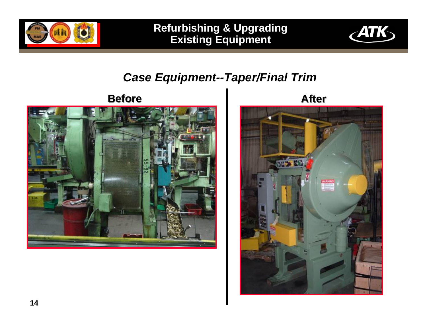

**Refurbishing & Upgrading Existing Equipment**



# *Case Equipment--Taper/Final Trim*

# **Before**



**After**

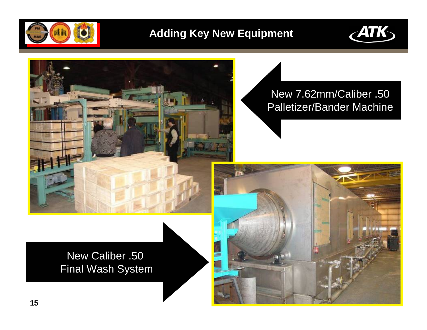

# **Adding Key New Equipment**





# New 7.62mm/Caliber .50 Palletizer/Bander Machine